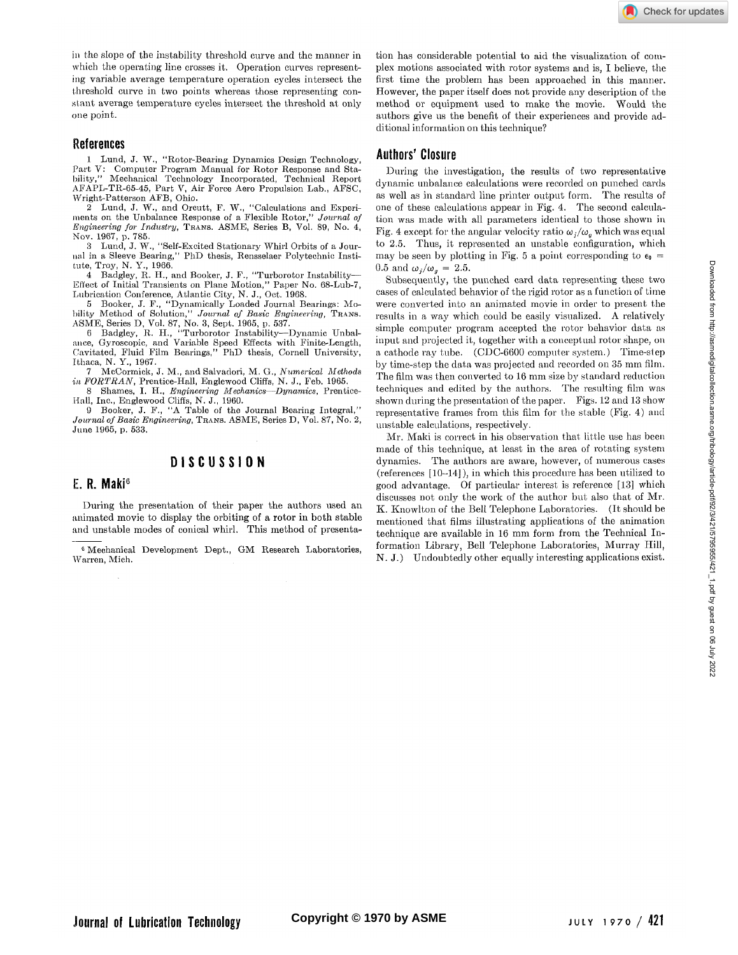in the slope of the instability threshold curve and the manner in which the operating line crosses it. Operation curves representing variable average temperature operation cycles intersect the threshold curve in two points whereas those representing constant average temperature cycles mtersect the threshold at only one point.

#### **References**

1 Lund, J. W., "Rotor-Bearing Dynamics Design Technology, Part V: Computer Program Manual for Rotor Response and Sta-bility," Mechanical Technology Incorporated, Technical Report AFAPL-TR-65-45, Part V, Air Force Aero Propulsion Lab., AFSC, Wright-Patterson AFB, Ohio.

2 Lund, J. W., and Orcutt, F. W., "Calculations and Experiments on the Unbalance Response of a Flexible Rotor," *Journal of Engineering for Industry,* TRANS. ASME, Series B, Vol. 89, No. 4, Nov. 1967, p. 785.

3 Lund, J. W., "Self-Excited Stationary Whirl Orbits of a Journal in a Sleeve Bearing," PhD thesis, Rensselaer Polytechnic Institute, Troy, N. Y., 1966.

4 Badgley, R. H., and Booker, J. F., "Turborotor Instability— Effect of Initial Transients on Plane Motion," Paper No. 68-Lub-7, Lubrication Conference, Atlantic City, N. J., Oct. 1968.

5 Booker, J. F., "Dynamically Loaded Journal Bearings: Mobility Method of Solution," Journal of Basic Engineering, Trans.<br>ASME, Series D, Vol. 87, No. 3, Sept. 1965, p. 537.

6 Badgley, R. H., "Turborotor Instability—Dynamic Unbal-ance, Gyroscopic, and Variable Speed Effects with Finite-Length, Cavitated, Fluid Film Bearings," PhD thesis, Cornell University, Ithaca, N. Y., 1967.

7 McCormick, J. M., and Salvadori, M. G., *Numerical Methods in FORTRAN,* Prentice-Hall, Englewood Cliffs, N. J., Feb. 1965.

8 Shames, I. H., *Engineering Mechanics*—*Dynamics,* Prentice-Hall, Inc., Englewood Cliffs, N. J., 1960.

9 Booker, J. F., "A Table of the Journal Bearing Integral," *Journal of Basic Engineering, Trans. ASME, Series D, Vol. 87, No. 2,* June 1965, p. 533.

# **DISCUSSIO N**

## **E. R. Maki<sup>6</sup>**

During the presentation of their paper the authors used an animated movie to display the orbiting of a rotor in both stable and unstable modes of conical whirl. This method of presenta-

6 Mechanical Development Dept., GM Research Laboratories, Warren, Mich.

tion has considerable potential to aid the visualization of complex motions associated with rotor systems and is, I believe, the first time the problem has been approached in this manner. However, the paper itself does not provide any description of the method or equipment used to make the movie. Would the authors give us the benefit of their experiences and provide additional information on this technique?

## **Authors' Closure**

During the investigation, the results of two representative dynamic unbalance calculations were recorded on punched cards as well as in standard line printer output form. The results of one of these calculations appear in Fig. 4. The second calculation was made with all parameters identical to those shown in Fig. 4 except for the angular velocity ratio  $\omega_i/\omega_q$  which was equal to 2.5. Thus, it represented an unstable configuration, which may be seen by plotting in Fig. 5 a point corresponding to  $\epsilon_0$  = 0.5 and  $\omega_j/\omega_q = 2.5$ .

Subsequently, the punched card data representing these two cases of calculated behavior of the rigid rotor as a function of time were converted into an animated movie in order to present the results in a way which could be easily visualized. A relatively simple computer program accepted the rotor behavior data as input and projected it, together with a conceptual rotor shape, on a cathode ray tube. (CDC-6600 computer system.) Time-step by time-step the data was projected and recorded on 35 mm film. The film was then converted to 16 mm size by standard reduction techniques and edited by the authors. The resulting film was shown during the presentation of the paper. Figs. 12 and 13 show representative frames from this film for the stable (Fig. 4) and unstable calculations, respectively.

Mr. Maki is correct in his observation that little use has been made of this technique, at least in the area of rotating system dynamics. The authors are aware, however, of numerous cases (references [10-14]), in which this procedure has been utilized to good advantage. Of particular interest is reference [13] which discusses not only the work of the author but also that of Mr. K. Knowlton of the Bell Telephone Laboratories. (It should be mentioned that films illustrating applications of the animation technique are available in 16 mm form from the Technical Information Library, Bell Telephone Laboratories, Murray Hill, N. J.) Undoubtedly other equally interesting applications exist.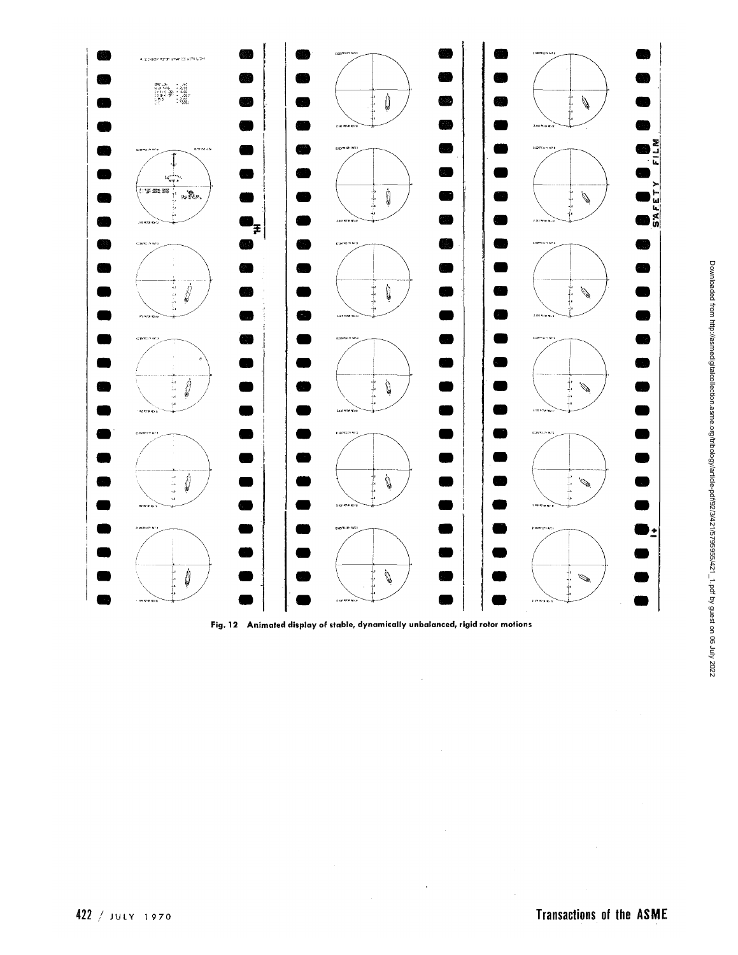

**Fig. 12 Animated display of stable, dynamically unbalanced, rigid rotor motions** 

¥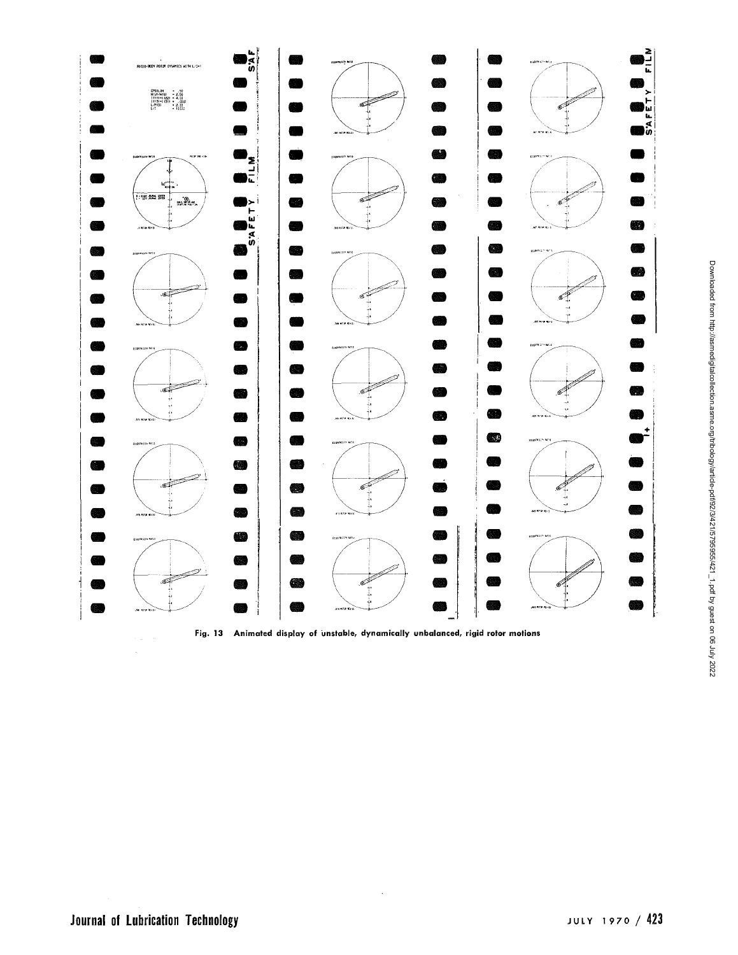

**Fig. 13 Animated display of unstable, dynamically unbalanced, rigid rotor motions** 

 $\ddot{\phantom{a}}$ 

 $\sim$  $\hat{\mathbf{r}}_k$